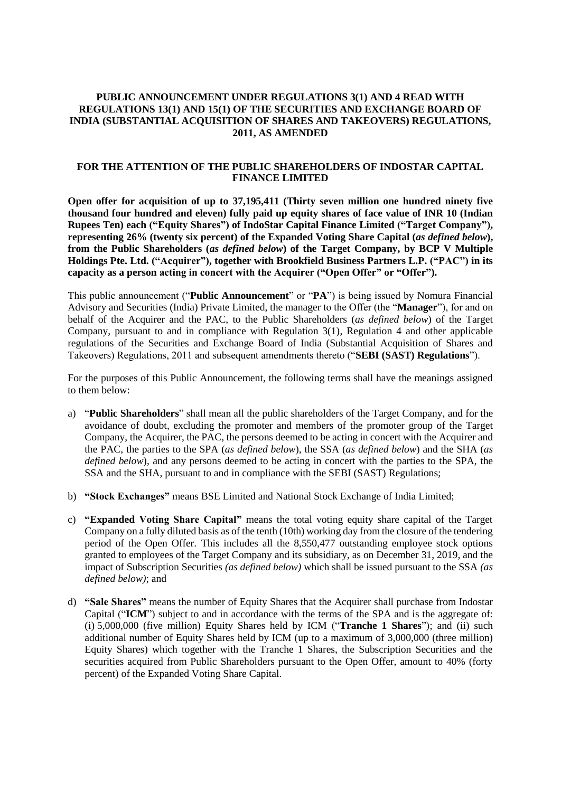#### **PUBLIC ANNOUNCEMENT UNDER REGULATIONS 3(1) AND 4 READ WITH REGULATIONS 13(1) AND 15(1) OF THE SECURITIES AND EXCHANGE BOARD OF INDIA (SUBSTANTIAL ACQUISITION OF SHARES AND TAKEOVERS) REGULATIONS, 2011, AS AMENDED**

#### **FOR THE ATTENTION OF THE PUBLIC SHAREHOLDERS OF INDOSTAR CAPITAL FINANCE LIMITED**

**Open offer for acquisition of up to 37,195,411 (Thirty seven million one hundred ninety five thousand four hundred and eleven) fully paid up equity shares of face value of INR 10 (Indian Rupees Ten) each ("Equity Shares") of IndoStar Capital Finance Limited ("Target Company"), representing 26% (twenty six percent) of the Expanded Voting Share Capital (***as defined below***), from the Public Shareholders (***as defined below***) of the Target Company, by BCP V Multiple Holdings Pte. Ltd. ("Acquirer"), together with Brookfield Business Partners L.P. ("PAC") in its capacity as a person acting in concert with the Acquirer ("Open Offer" or "Offer").**

This public announcement ("**Public Announcement**" or "**PA**") is being issued by Nomura Financial Advisory and Securities (India) Private Limited, the manager to the Offer (the "**Manager**"), for and on behalf of the Acquirer and the PAC, to the Public Shareholders (*as defined below*) of the Target Company, pursuant to and in compliance with Regulation 3(1), Regulation 4 and other applicable regulations of the Securities and Exchange Board of India (Substantial Acquisition of Shares and Takeovers) Regulations, 2011 and subsequent amendments thereto ("**SEBI (SAST) Regulations**").

For the purposes of this Public Announcement, the following terms shall have the meanings assigned to them below:

- a) "**Public Shareholders**" shall mean all the public shareholders of the Target Company, and for the avoidance of doubt, excluding the promoter and members of the promoter group of the Target Company, the Acquirer, the PAC, the persons deemed to be acting in concert with the Acquirer and the PAC, the parties to the SPA (*as defined below*), the SSA (*as defined below*) and the SHA (*as defined below*), and any persons deemed to be acting in concert with the parties to the SPA, the SSA and the SHA, pursuant to and in compliance with the SEBI (SAST) Regulations;
- b) **"Stock Exchanges"** means BSE Limited and National Stock Exchange of India Limited;
- c) **"Expanded Voting Share Capital"** means the total voting equity share capital of the Target Company on a fully diluted basis as of the tenth (10th) working day from the closure of the tendering period of the Open Offer. This includes all the 8,550,477 outstanding employee stock options granted to employees of the Target Company and its subsidiary, as on December 31, 2019, and the impact of Subscription Securities *(as defined below)* which shall be issued pursuant to the SSA *(as defined below)*; and
- d) **"Sale Shares"** means the number of Equity Shares that the Acquirer shall purchase from Indostar Capital ("**ICM**") subject to and in accordance with the terms of the SPA and is the aggregate of: (i) 5,000,000 (five million) Equity Shares held by ICM ("**Tranche 1 Shares**"); and (ii) such additional number of Equity Shares held by ICM (up to a maximum of 3,000,000 (three million) Equity Shares) which together with the Tranche 1 Shares, the Subscription Securities and the securities acquired from Public Shareholders pursuant to the Open Offer, amount to 40% (forty percent) of the Expanded Voting Share Capital.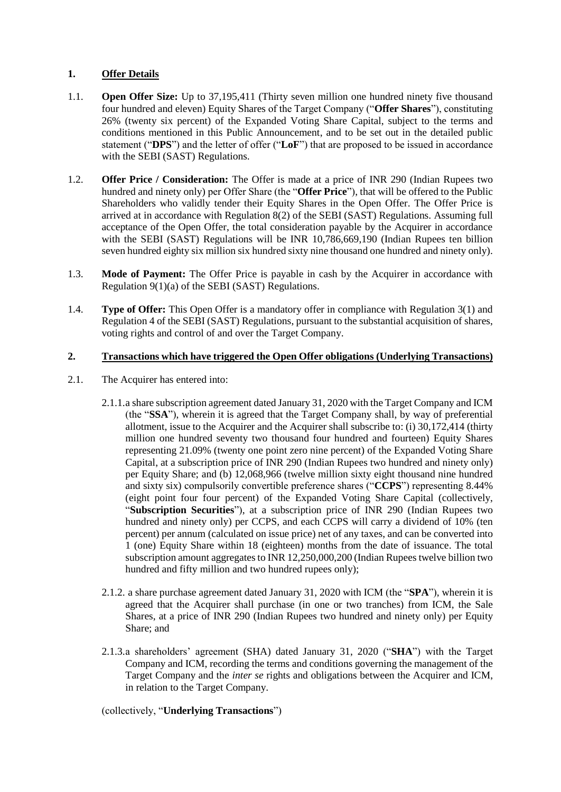# **1. Offer Details**

- 1.1. **Open Offer Size:** Up to 37,195,411 (Thirty seven million one hundred ninety five thousand four hundred and eleven) Equity Shares of the Target Company ("**Offer Shares**"), constituting 26% (twenty six percent) of the Expanded Voting Share Capital, subject to the terms and conditions mentioned in this Public Announcement, and to be set out in the detailed public statement ("**DPS**") and the letter of offer ("**LoF**") that are proposed to be issued in accordance with the SEBI (SAST) Regulations.
- 1.2. **Offer Price / Consideration:** The Offer is made at a price of INR 290 (Indian Rupees two hundred and ninety only) per Offer Share (the "**Offer Price**"), that will be offered to the Public Shareholders who validly tender their Equity Shares in the Open Offer. The Offer Price is arrived at in accordance with Regulation 8(2) of the SEBI (SAST) Regulations. Assuming full acceptance of the Open Offer, the total consideration payable by the Acquirer in accordance with the SEBI (SAST) Regulations will be INR 10,786,669,190 (Indian Rupees ten billion seven hundred eighty six million six hundred sixty nine thousand one hundred and ninety only).
- 1.3. **Mode of Payment:** The Offer Price is payable in cash by the Acquirer in accordance with Regulation 9(1)(a) of the SEBI (SAST) Regulations.
- 1.4. **Type of Offer:** This Open Offer is a mandatory offer in compliance with Regulation 3(1) and Regulation 4 of the SEBI (SAST) Regulations, pursuant to the substantial acquisition of shares, voting rights and control of and over the Target Company.

## **2. Transactions which have triggered the Open Offer obligations (Underlying Transactions)**

- 2.1. The Acquirer has entered into:
	- 2.1.1.a share subscription agreement dated January 31, 2020 with the Target Company and ICM (the "**SSA**"), wherein it is agreed that the Target Company shall, by way of preferential allotment, issue to the Acquirer and the Acquirer shall subscribe to: (i) 30,172,414 (thirty million one hundred seventy two thousand four hundred and fourteen) Equity Shares representing 21.09% (twenty one point zero nine percent) of the Expanded Voting Share Capital, at a subscription price of INR 290 (Indian Rupees two hundred and ninety only) per Equity Share; and (b) 12,068,966 (twelve million sixty eight thousand nine hundred and sixty six) compulsorily convertible preference shares ("**CCPS**") representing 8.44% (eight point four four percent) of the Expanded Voting Share Capital (collectively, "**Subscription Securities**"), at a subscription price of INR 290 (Indian Rupees two hundred and ninety only) per CCPS, and each CCPS will carry a dividend of 10% (ten percent) per annum (calculated on issue price) net of any taxes, and can be converted into 1 (one) Equity Share within 18 (eighteen) months from the date of issuance. The total subscription amount aggregatesto INR 12,250,000,200 (Indian Rupees twelve billion two hundred and fifty million and two hundred rupees only);
	- 2.1.2. a share purchase agreement dated January 31, 2020 with ICM (the "**SPA**"), wherein it is agreed that the Acquirer shall purchase (in one or two tranches) from ICM, the Sale Shares, at a price of INR 290 (Indian Rupees two hundred and ninety only) per Equity Share; and
	- 2.1.3.a shareholders' agreement (SHA) dated January 31, 2020 ("**SHA**") with the Target Company and ICM, recording the terms and conditions governing the management of the Target Company and the *inter se* rights and obligations between the Acquirer and ICM, in relation to the Target Company.

(collectively, "**Underlying Transactions**")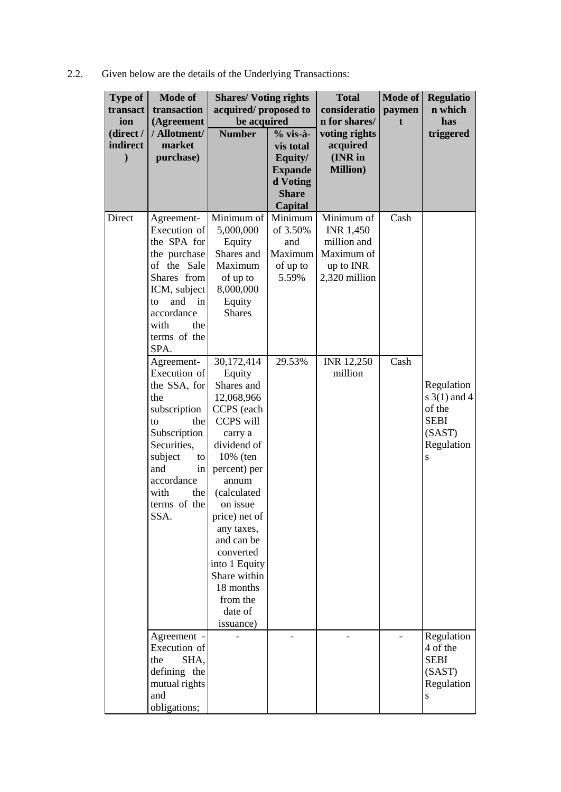2.2. Given below are the details of the Underlying Transactions:

| <b>Type of</b>        | <b>Mode of</b>             | <b>Shares/Voting rights</b> |                            | <b>Total</b>        | <b>Mode of</b> | <b>Regulatio</b> |
|-----------------------|----------------------------|-----------------------------|----------------------------|---------------------|----------------|------------------|
| transact              | transaction                | acquired/proposed to        |                            | consideratio        | paymen         | n which          |
| ion                   | (Agreement<br>/ Allotment/ | be acquired                 |                            | n for shares/       | t              | has              |
| (direct /<br>indirect | market                     | <b>Number</b>               | $%$ vis-à-                 | voting rights       |                | triggered        |
|                       |                            |                             | vis total                  | acquired<br>(INR in |                |                  |
| $\mathbf{)}$          | purchase)                  |                             | Equity/                    | <b>Million</b> )    |                |                  |
|                       |                            |                             | <b>Expande</b><br>d Voting |                     |                |                  |
|                       |                            |                             | <b>Share</b>               |                     |                |                  |
|                       |                            |                             | <b>Capital</b>             |                     |                |                  |
| Direct                | Agreement-                 | Minimum of                  | Minimum                    | Minimum of          | Cash           |                  |
|                       | Execution of               | 5,000,000                   | of 3.50%                   | <b>INR 1,450</b>    |                |                  |
|                       | the SPA for                | Equity                      | and                        | million and         |                |                  |
|                       | the purchase               | Shares and                  | Maximum                    | Maximum of          |                |                  |
|                       | of the Sale                | Maximum                     | of up to                   | up to INR           |                |                  |
|                       | Shares from                | of up to                    | 5.59%                      | 2,320 million       |                |                  |
|                       | ICM, subject               | 8,000,000                   |                            |                     |                |                  |
|                       | and<br>in<br>to            | Equity                      |                            |                     |                |                  |
|                       | accordance                 | <b>Shares</b>               |                            |                     |                |                  |
|                       | with<br>the                |                             |                            |                     |                |                  |
|                       | terms of the               |                             |                            |                     |                |                  |
|                       | SPA.                       |                             |                            |                     |                |                  |
|                       | Agreement-                 | 30,172,414                  | 29.53%                     | INR 12,250          | Cash           |                  |
|                       | Execution of               | Equity                      |                            | million             |                |                  |
|                       | the SSA, for               | Shares and                  |                            |                     |                | Regulation       |
|                       | the                        | 12,068,966                  |                            |                     |                | s $3(1)$ and 4   |
|                       | subscription               | CCPS (each                  |                            |                     |                | of the           |
|                       | the<br>to                  | CCPS will                   |                            |                     |                | <b>SEBI</b>      |
|                       | Subscription               | carry a                     |                            |                     |                | (SAST)           |
|                       | Securities,                | dividend of                 |                            |                     |                | Regulation       |
|                       | subject<br>to              | 10% (ten                    |                            |                     |                | S                |
|                       | and<br>in                  | percent) per                |                            |                     |                |                  |
|                       | accordance                 | annum                       |                            |                     |                |                  |
|                       | with<br>the                | (calculated                 |                            |                     |                |                  |
|                       | terms of the               | on issue                    |                            |                     |                |                  |
|                       | SSA.                       | price) net of               |                            |                     |                |                  |
|                       |                            | any taxes,                  |                            |                     |                |                  |
|                       |                            | and can be<br>converted     |                            |                     |                |                  |
|                       |                            | into 1 Equity               |                            |                     |                |                  |
|                       |                            | Share within                |                            |                     |                |                  |
|                       |                            | 18 months                   |                            |                     |                |                  |
|                       |                            | from the                    |                            |                     |                |                  |
|                       |                            | date of                     |                            |                     |                |                  |
|                       |                            | issuance)                   |                            |                     |                |                  |
|                       | Agreement -                |                             |                            |                     |                | Regulation       |
|                       | Execution of               |                             |                            |                     |                | 4 of the         |
|                       | the<br>SHA,                |                             |                            |                     |                | <b>SEBI</b>      |
|                       | defining the               |                             |                            |                     |                | (SAST)           |
|                       | mutual rights              |                             |                            |                     |                | Regulation       |
|                       | and                        |                             |                            |                     |                | S                |
|                       | obligations;               |                             |                            |                     |                |                  |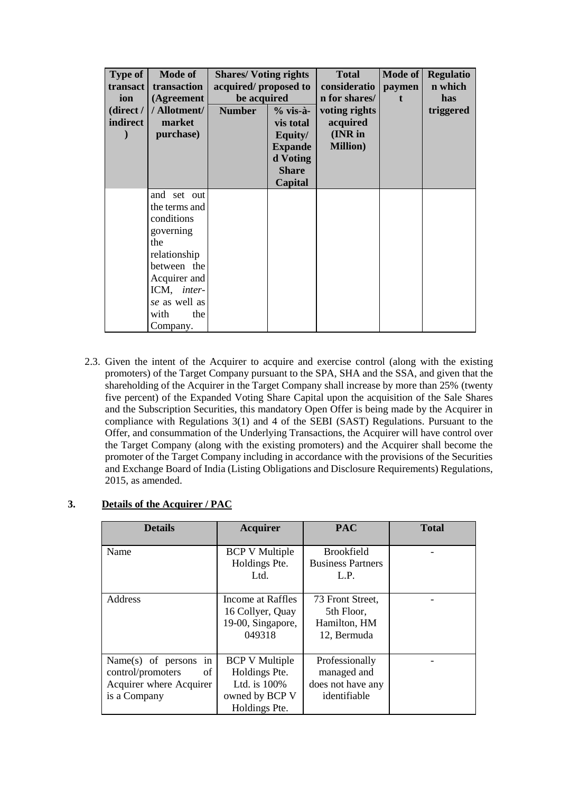| <b>Type of</b><br>transact<br>ion<br>(direct/<br>indirect | <b>Mode of</b><br>transaction<br>(Agreement<br>/ Allotment/<br>market<br>purchase) | <b>Shares/Voting rights</b><br>acquired/proposed to<br>be acquired<br><b>Number</b><br>$%$ vis-à-<br><b>vis total</b><br>Equity/<br><b>Expande</b><br>d Voting<br><b>Share</b> |         | <b>Total</b><br>consideratio<br>n for shares/<br>voting rights<br>acquired<br>(INR in<br><b>Million</b> ) | <b>Mode of</b><br>paymen | <b>Regulatio</b><br>n which<br>has<br>triggered |
|-----------------------------------------------------------|------------------------------------------------------------------------------------|--------------------------------------------------------------------------------------------------------------------------------------------------------------------------------|---------|-----------------------------------------------------------------------------------------------------------|--------------------------|-------------------------------------------------|
|                                                           | and set out                                                                        |                                                                                                                                                                                | Capital |                                                                                                           |                          |                                                 |
|                                                           | the terms and<br>conditions                                                        |                                                                                                                                                                                |         |                                                                                                           |                          |                                                 |
|                                                           | governing                                                                          |                                                                                                                                                                                |         |                                                                                                           |                          |                                                 |
|                                                           | the                                                                                |                                                                                                                                                                                |         |                                                                                                           |                          |                                                 |
|                                                           | relationship<br>between the                                                        |                                                                                                                                                                                |         |                                                                                                           |                          |                                                 |
|                                                           | Acquirer and                                                                       |                                                                                                                                                                                |         |                                                                                                           |                          |                                                 |
|                                                           | ICM, inter-                                                                        |                                                                                                                                                                                |         |                                                                                                           |                          |                                                 |
|                                                           | se as well as                                                                      |                                                                                                                                                                                |         |                                                                                                           |                          |                                                 |
|                                                           | with<br>the                                                                        |                                                                                                                                                                                |         |                                                                                                           |                          |                                                 |
|                                                           | Company.                                                                           |                                                                                                                                                                                |         |                                                                                                           |                          |                                                 |

2.3. Given the intent of the Acquirer to acquire and exercise control (along with the existing promoters) of the Target Company pursuant to the SPA, SHA and the SSA, and given that the shareholding of the Acquirer in the Target Company shall increase by more than 25% (twenty five percent) of the Expanded Voting Share Capital upon the acquisition of the Sale Shares and the Subscription Securities, this mandatory Open Offer is being made by the Acquirer in compliance with Regulations 3(1) and 4 of the SEBI (SAST) Regulations. Pursuant to the Offer, and consummation of the Underlying Transactions, the Acquirer will have control over the Target Company (along with the existing promoters) and the Acquirer shall become the promoter of the Target Company including in accordance with the provisions of the Securities and Exchange Board of India (Listing Obligations and Disclosure Requirements) Regulations, 2015, as amended.

| <b>Details</b>                                                                                    | <b>Acquirer</b>                                                                           | <b>PAC</b>                                                         | <b>Total</b> |
|---------------------------------------------------------------------------------------------------|-------------------------------------------------------------------------------------------|--------------------------------------------------------------------|--------------|
| Name                                                                                              | <b>BCP V Multiple</b><br>Holdings Pte.<br>Ltd.                                            | <b>Brookfield</b><br><b>Business Partners</b><br>L.P.              |              |
| Address                                                                                           | Income at Raffles<br>16 Collyer, Quay<br>19-00, Singapore,<br>049318                      | 73 Front Street.<br>5th Floor,<br>Hamilton, HM<br>12, Bermuda      |              |
| Name $(s)$ of persons<br>in<br>of<br>control/promoters<br>Acquirer where Acquirer<br>is a Company | <b>BCP V Multiple</b><br>Holdings Pte.<br>Ltd. is 100%<br>owned by BCP V<br>Holdings Pte. | Professionally<br>managed and<br>does not have any<br>identifiable |              |

# **3. Details of the Acquirer / PAC**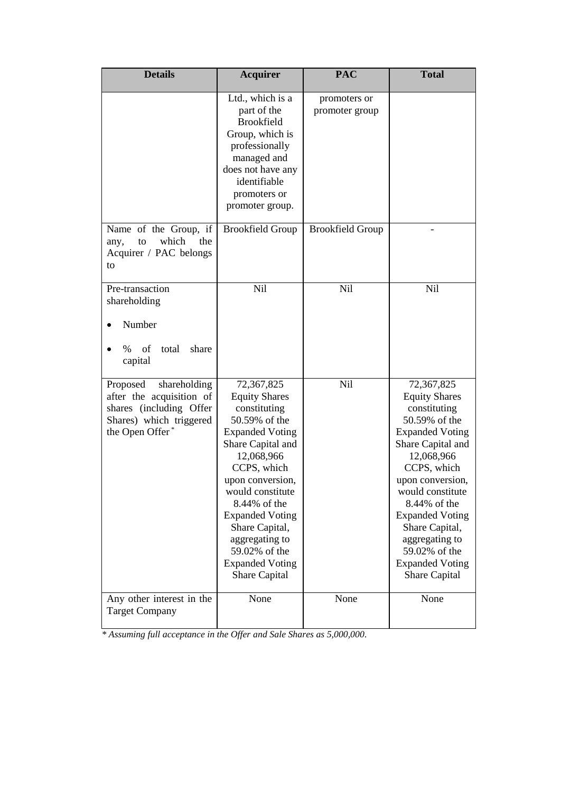| <b>Details</b>                                                                                                                | <b>PAC</b><br><b>Acquirer</b>                                                                                                                                                                                                                                                                                                     |                                | <b>Total</b>                                                                                                                                                                                                                                                                                                                      |
|-------------------------------------------------------------------------------------------------------------------------------|-----------------------------------------------------------------------------------------------------------------------------------------------------------------------------------------------------------------------------------------------------------------------------------------------------------------------------------|--------------------------------|-----------------------------------------------------------------------------------------------------------------------------------------------------------------------------------------------------------------------------------------------------------------------------------------------------------------------------------|
|                                                                                                                               | Ltd., which is a<br>part of the<br><b>Brookfield</b><br>Group, which is<br>professionally<br>managed and<br>does not have any<br>identifiable<br>promoters or<br>promoter group.                                                                                                                                                  | promoters or<br>promoter group |                                                                                                                                                                                                                                                                                                                                   |
| Name of the Group, if<br>which<br>the<br>any,<br>to<br>Acquirer / PAC belongs<br>to                                           | <b>Brookfield Group</b>                                                                                                                                                                                                                                                                                                           | <b>Brookfield Group</b>        |                                                                                                                                                                                                                                                                                                                                   |
| Pre-transaction<br>shareholding<br>Number<br>of<br>total<br>share<br>$\%$<br>capital                                          | <b>Nil</b>                                                                                                                                                                                                                                                                                                                        | Nil                            | Nil                                                                                                                                                                                                                                                                                                                               |
| Proposed<br>shareholding<br>after the acquisition of<br>shares (including Offer<br>Shares) which triggered<br>the Open Offer* | 72,367,825<br><b>Equity Shares</b><br>constituting<br>50.59% of the<br><b>Expanded Voting</b><br>Share Capital and<br>12,068,966<br>CCPS, which<br>upon conversion,<br>would constitute<br>8.44% of the<br><b>Expanded Voting</b><br>Share Capital,<br>aggregating to<br>59.02% of the<br><b>Expanded Voting</b><br>Share Capital | Nil                            | 72,367,825<br><b>Equity Shares</b><br>constituting<br>50.59% of the<br><b>Expanded Voting</b><br>Share Capital and<br>12,068,966<br>CCPS, which<br>upon conversion,<br>would constitute<br>8.44% of the<br><b>Expanded Voting</b><br>Share Capital,<br>aggregating to<br>59.02% of the<br><b>Expanded Voting</b><br>Share Capital |
| Any other interest in the<br><b>Target Company</b>                                                                            | None                                                                                                                                                                                                                                                                                                                              | None                           | None                                                                                                                                                                                                                                                                                                                              |

*\* Assuming full acceptance in the Offer and Sale Shares as 5,000,000.*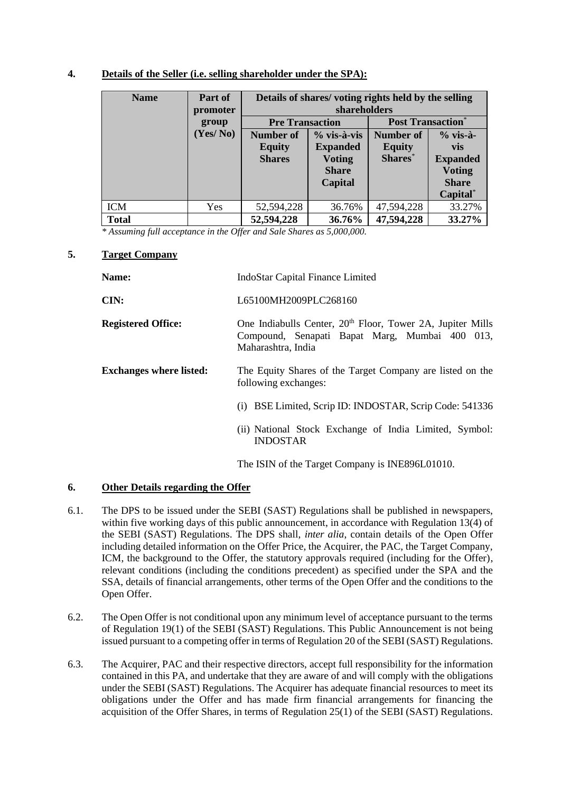## **4. Details of the Seller (i.e. selling shareholder under the SPA):**

| <b>Name</b>  | Part of<br>promoter | Details of shares/voting rights held by the selling<br>shareholders |                 |                          |                 |
|--------------|---------------------|---------------------------------------------------------------------|-----------------|--------------------------|-----------------|
|              | group               | <b>Pre Transaction</b>                                              |                 | <b>Post Transaction*</b> |                 |
|              | (Yes/No)            | <b>Number of</b>                                                    | $%$ vis-à-vis   | <b>Number of</b>         | $%$ vis-à-      |
|              |                     | <b>Equity</b>                                                       | <b>Expanded</b> | <b>Equity</b>            | <b>vis</b>      |
|              |                     | <b>Shares</b>                                                       | <b>Voting</b>   | Shares*                  | <b>Expanded</b> |
|              |                     |                                                                     | <b>Share</b>    |                          | <b>Voting</b>   |
|              |                     |                                                                     | Capital         |                          | <b>Share</b>    |
|              |                     |                                                                     |                 |                          | Capital*        |
| <b>ICM</b>   | <b>Yes</b>          | 52,594,228                                                          | 36.76%          | 47,594,228               | 33.27%          |
| <b>Total</b> |                     | 52,594,228                                                          | 36.76%          | 47,594,228               | 33.27%          |

*\* Assuming full acceptance in the Offer and Sale Shares as 5,000,000.*

## **5. Target Company**

| Name:                          | IndoStar Capital Finance Limited                                                                                                               |  |  |
|--------------------------------|------------------------------------------------------------------------------------------------------------------------------------------------|--|--|
| CIN:                           | L65100MH2009PLC268160                                                                                                                          |  |  |
| <b>Registered Office:</b>      | One Indiabulls Center, 20 <sup>th</sup> Floor, Tower 2A, Jupiter Mills<br>Compound, Senapati Bapat Marg, Mumbai 400 013,<br>Maharashtra, India |  |  |
| <b>Exchanges where listed:</b> | The Equity Shares of the Target Company are listed on the<br>following exchanges:                                                              |  |  |
|                                | (i) BSE Limited, Scrip ID: INDOSTAR, Scrip Code: 541336                                                                                        |  |  |
|                                | (ii) National Stock Exchange of India Limited, Symbol:<br><b>INDOSTAR</b>                                                                      |  |  |
|                                | The ISIN of the Target Company is INE896L01010.                                                                                                |  |  |

# **6. Other Details regarding the Offer**

- 6.1. The DPS to be issued under the SEBI (SAST) Regulations shall be published in newspapers, within five working days of this public announcement, in accordance with Regulation 13(4) of the SEBI (SAST) Regulations. The DPS shall, *inter alia*, contain details of the Open Offer including detailed information on the Offer Price, the Acquirer, the PAC, the Target Company, ICM, the background to the Offer, the statutory approvals required (including for the Offer), relevant conditions (including the conditions precedent) as specified under the SPA and the SSA, details of financial arrangements, other terms of the Open Offer and the conditions to the Open Offer.
- 6.2. The Open Offer is not conditional upon any minimum level of acceptance pursuant to the terms of Regulation 19(1) of the SEBI (SAST) Regulations. This Public Announcement is not being issued pursuant to a competing offer in terms of Regulation 20 of the SEBI (SAST) Regulations.
- 6.3. The Acquirer, PAC and their respective directors, accept full responsibility for the information contained in this PA, and undertake that they are aware of and will comply with the obligations under the SEBI (SAST) Regulations. The Acquirer has adequate financial resources to meet its obligations under the Offer and has made firm financial arrangements for financing the acquisition of the Offer Shares, in terms of Regulation 25(1) of the SEBI (SAST) Regulations.